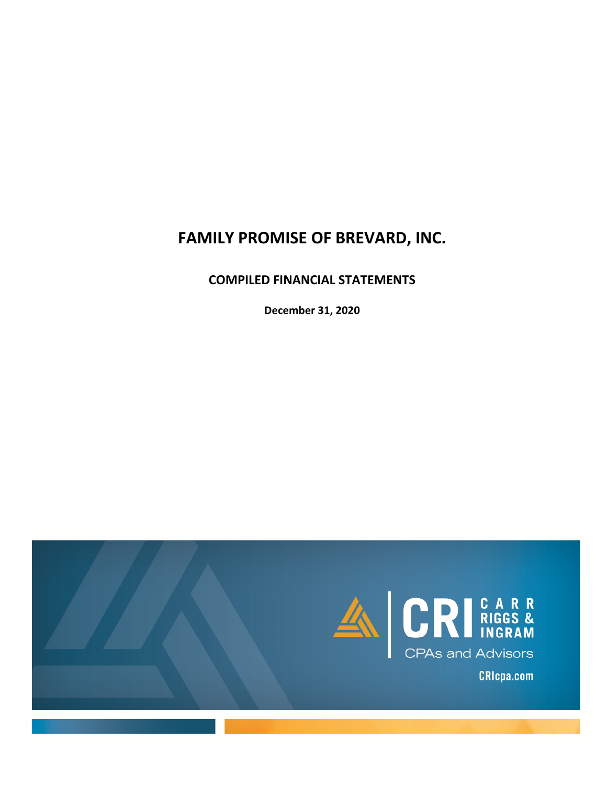# **FAMILY PROMISE OF BREVARD, INC.**

## **COMPILED FINANCIAL STATEMENTS**

**December 31, 2020**

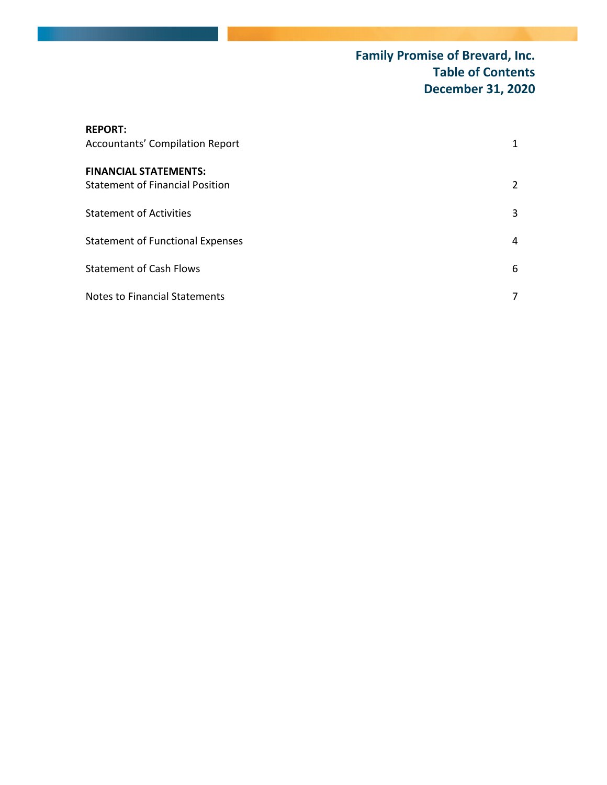## **Family Promise of Brevard, Inc. Table of Contents December 31, 2020**

| <b>REPORT:</b><br><b>Accountants' Compilation Report</b>               | $\mathbf{1}$          |
|------------------------------------------------------------------------|-----------------------|
| <b>FINANCIAL STATEMENTS:</b><br><b>Statement of Financial Position</b> | $\mathbf{2}^{\prime}$ |
| <b>Statement of Activities</b>                                         | 3                     |
| <b>Statement of Functional Expenses</b>                                | 4                     |
| <b>Statement of Cash Flows</b>                                         | 6                     |
| <b>Notes to Financial Statements</b>                                   | 7                     |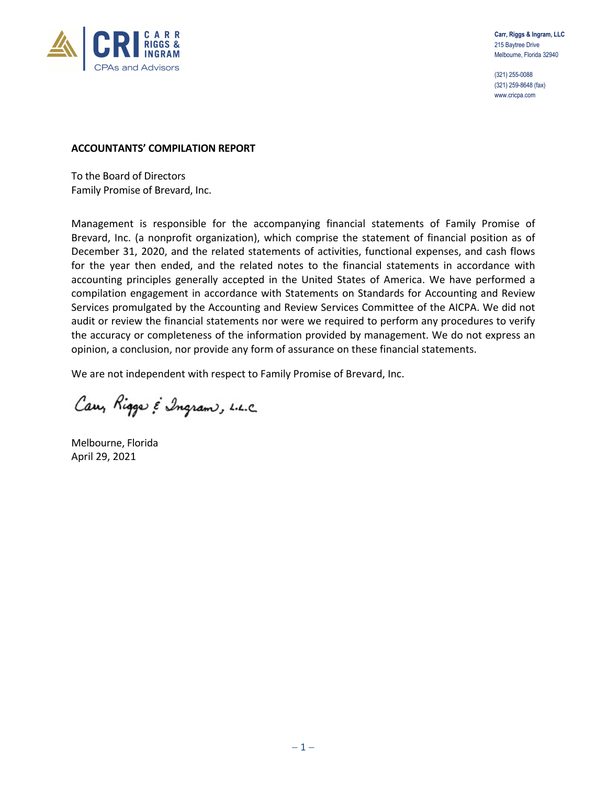

(321) 255-0088 (321) 259-8648 (fax) www.cricpa.com

#### **ACCOUNTANTS' COMPILATION REPORT**

To the Board of Directors Family Promise of Brevard, Inc.

Management is responsible for the accompanying financial statements of Family Promise of Brevard, Inc. (a nonprofit organization), which comprise the statement of financial position as of December 31, 2020, and the related statements of activities, functional expenses, and cash flows for the year then ended, and the related notes to the financial statements in accordance with accounting principles generally accepted in the United States of America. We have performed a compilation engagement in accordance with Statements on Standards for Accounting and Review Services promulgated by the Accounting and Review Services Committee of the AICPA. We did not audit or review the financial statements nor were we required to perform any procedures to verify the accuracy or completeness of the information provided by management. We do not express an opinion, a conclusion, nor provide any form of assurance on these financial statements.

We are not independent with respect to Family Promise of Brevard, Inc.

Carry Rigger & Ingram, L.L.C.

Melbourne, Florida April 29, 2021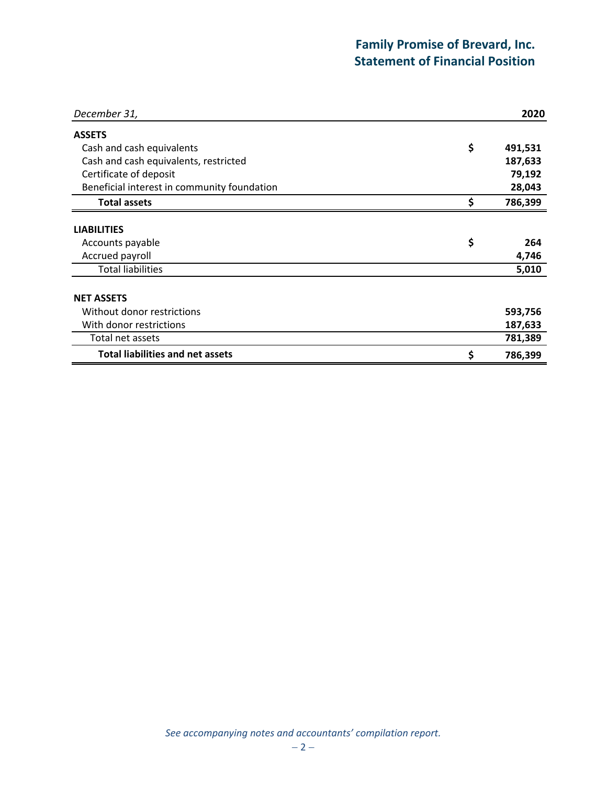## **Family Promise of Brevard, Inc. Statement of Financial Position**

| December 31,                                | 2020          |
|---------------------------------------------|---------------|
| <b>ASSETS</b>                               |               |
| Cash and cash equivalents                   | \$<br>491,531 |
| Cash and cash equivalents, restricted       | 187,633       |
| Certificate of deposit                      | 79,192        |
| Beneficial interest in community foundation | 28,043        |
| <b>Total assets</b>                         | \$<br>786,399 |
| <b>LIABILITIES</b>                          |               |
| Accounts payable                            | \$<br>264     |
| Accrued payroll                             | 4,746         |
| <b>Total liabilities</b>                    | 5,010         |
| <b>NET ASSETS</b>                           |               |
| Without donor restrictions                  | 593,756       |
| With donor restrictions                     | 187,633       |
| Total net assets                            | 781,389       |
| <b>Total liabilities and net assets</b>     | \$<br>786,399 |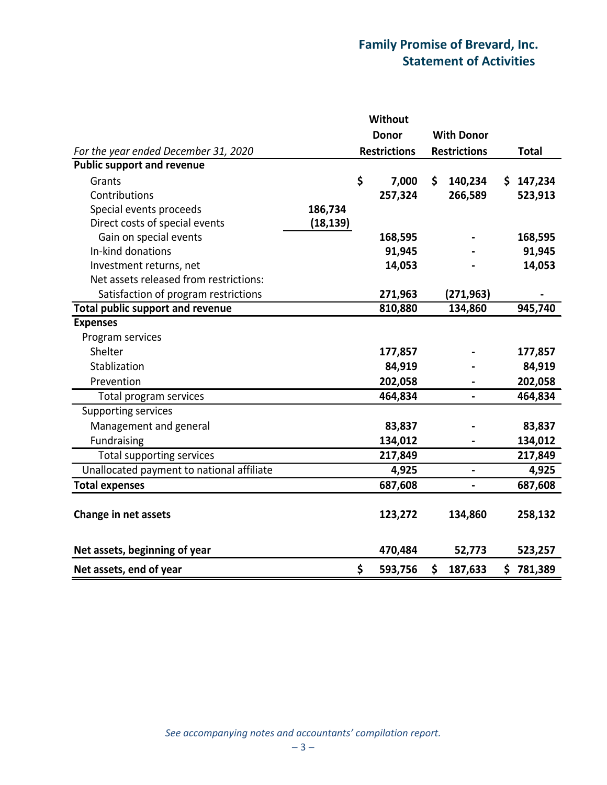## **Family Promise of Brevard, Inc. Statement of Activities**

|                                           |           | <b>Without</b>      |                          |               |
|-------------------------------------------|-----------|---------------------|--------------------------|---------------|
|                                           |           | <b>Donor</b>        | <b>With Donor</b>        |               |
| For the year ended December 31, 2020      |           | <b>Restrictions</b> | <b>Restrictions</b>      | <b>Total</b>  |
| <b>Public support and revenue</b>         |           |                     |                          |               |
| Grants                                    |           | \$<br>7,000         | \$<br>140,234            | \$<br>147,234 |
| Contributions                             |           | 257,324             | 266,589                  | 523,913       |
| Special events proceeds                   | 186,734   |                     |                          |               |
| Direct costs of special events            | (18, 139) |                     |                          |               |
| Gain on special events                    |           | 168,595             |                          | 168,595       |
| In-kind donations                         |           | 91,945              |                          | 91,945        |
| Investment returns, net                   |           | 14,053              |                          | 14,053        |
| Net assets released from restrictions:    |           |                     |                          |               |
| Satisfaction of program restrictions      |           | 271,963             | (271,963)                |               |
| <b>Total public support and revenue</b>   |           | 810,880             | 134,860                  | 945,740       |
| <b>Expenses</b>                           |           |                     |                          |               |
| Program services                          |           |                     |                          |               |
| Shelter                                   |           | 177,857             |                          | 177,857       |
| Stablization                              |           | 84,919              |                          | 84,919        |
| Prevention                                |           | 202,058             |                          | 202,058       |
| Total program services                    |           | 464,834             | $\overline{\phantom{0}}$ | 464,834       |
| <b>Supporting services</b>                |           |                     |                          |               |
| Management and general                    |           | 83,837              |                          | 83,837        |
| Fundraising                               |           | 134,012             |                          | 134,012       |
| Total supporting services                 |           | 217,849             |                          | 217,849       |
| Unallocated payment to national affiliate |           | 4,925               | $\overline{\phantom{0}}$ | 4,925         |
| <b>Total expenses</b>                     |           | 687,608             |                          | 687,608       |
|                                           |           |                     |                          |               |
| Change in net assets                      |           | 123,272             | 134,860                  | 258,132       |
|                                           |           |                     |                          |               |
| Net assets, beginning of year             |           | 470,484             | 52,773                   | 523,257       |
| Net assets, end of year                   |           | \$<br>593,756       | \$<br>187,633            | \$781,389     |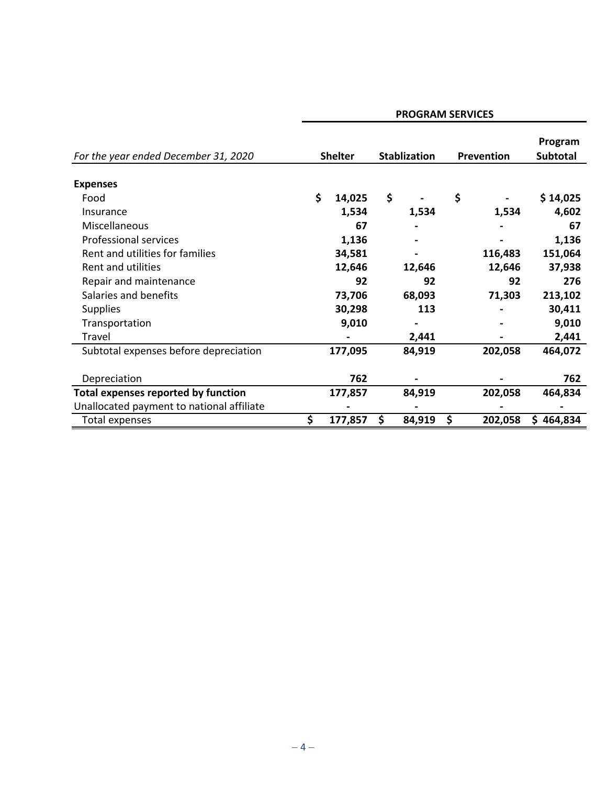| For the year ended December 31, 2020       | <b>Shelter</b> |    | <b>Stablization</b> |    | Prevention | Program<br><b>Subtotal</b> |
|--------------------------------------------|----------------|----|---------------------|----|------------|----------------------------|
| <b>Expenses</b>                            |                |    |                     |    |            |                            |
| Food                                       | \$<br>14,025   | \$ |                     | \$ |            | \$14,025                   |
| Insurance                                  | 1,534          |    | 1,534               |    | 1,534      | 4,602                      |
| Miscellaneous                              | 67             |    |                     |    |            | 67                         |
| <b>Professional services</b>               | 1,136          |    |                     |    |            | 1,136                      |
| Rent and utilities for families            | 34,581         |    |                     |    | 116,483    | 151,064                    |
| Rent and utilities                         | 12,646         |    | 12,646              |    | 12,646     | 37,938                     |
| Repair and maintenance                     | 92             |    | 92                  |    | 92         | 276                        |
| Salaries and benefits                      | 73,706         |    | 68,093              |    | 71,303     | 213,102                    |
| <b>Supplies</b>                            | 30,298         |    | 113                 |    |            | 30,411                     |
| Transportation                             | 9,010          |    |                     |    |            | 9,010                      |
| Travel                                     |                |    | 2,441               |    |            | 2,441                      |
| Subtotal expenses before depreciation      | 177,095        |    | 84,919              |    | 202,058    | 464,072                    |
| Depreciation                               | 762            |    |                     |    |            | 762                        |
| <b>Total expenses reported by function</b> | 177,857        |    | 84,919              |    | 202,058    | 464,834                    |
| Unallocated payment to national affiliate  |                |    |                     |    |            |                            |
| Total expenses                             | \$<br>177,857  | S  | 84,919              | S  | 202,058    | \$464,834                  |

### **PROGRAM SERVICES**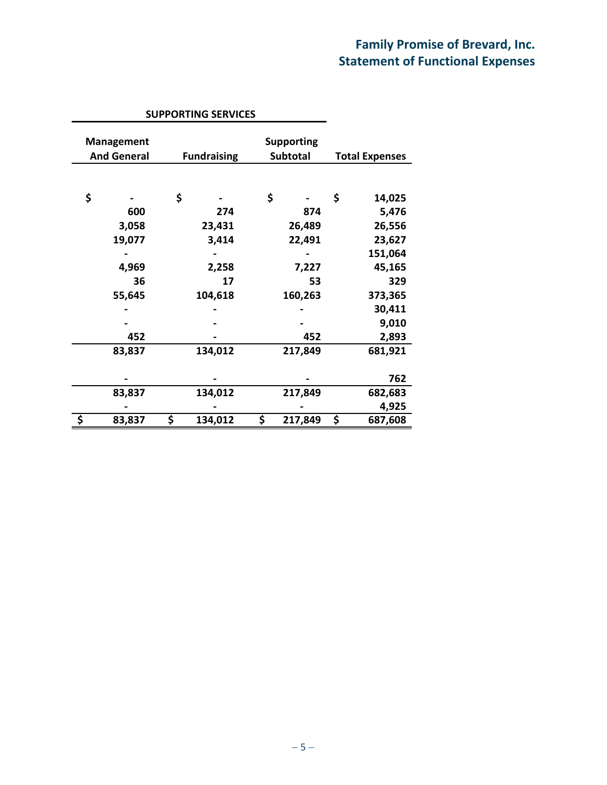## **Family Promise of Brevard, Inc. Statement of Functional Expenses**

|                                         | <b>SUPPORTING SERVICES</b> |                               |                       |
|-----------------------------------------|----------------------------|-------------------------------|-----------------------|
| <b>Management</b><br><b>And General</b> | <b>Fundraising</b>         | <b>Supporting</b><br>Subtotal | <b>Total Expenses</b> |
|                                         |                            |                               |                       |
| \$                                      | \$                         | \$                            | \$<br>14,025          |
| 600                                     | 274                        | 874                           | 5,476                 |
| 3,058                                   | 23,431                     | 26,489                        | 26,556                |
| 19,077                                  | 3,414                      | 22,491                        | 23,627                |
|                                         |                            |                               | 151,064               |
| 4,969                                   | 2,258                      | 7,227                         | 45,165                |
| 36                                      | 17                         | 53                            | 329                   |
| 55,645                                  | 104,618                    | 160,263                       | 373,365               |
|                                         |                            |                               | 30,411                |
|                                         |                            |                               | 9,010                 |
| 452                                     |                            | 452                           | 2,893                 |
| 83,837                                  | 134,012                    | 217,849                       | 681,921               |
|                                         |                            |                               |                       |
|                                         |                            |                               | 762                   |
| 83,837                                  | 134,012                    | 217,849                       | 682,683               |
|                                         |                            |                               | 4,925                 |
| \$<br>83,837                            | \$<br>134,012              | \$<br>217,849                 | \$<br>687,608         |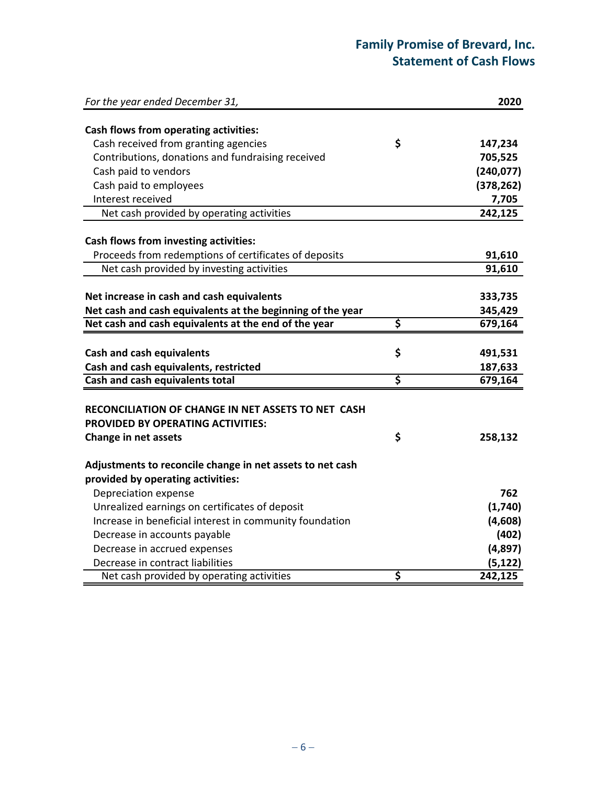## **Family Promise of Brevard, Inc. Statement of Cash Flows**

| For the year ended December 31,                                                                |                                     | 2020       |
|------------------------------------------------------------------------------------------------|-------------------------------------|------------|
| Cash flows from operating activities:                                                          |                                     |            |
| Cash received from granting agencies                                                           | \$                                  | 147,234    |
| Contributions, donations and fundraising received                                              |                                     | 705,525    |
| Cash paid to vendors                                                                           |                                     | (240, 077) |
| Cash paid to employees                                                                         |                                     | (378, 262) |
| Interest received                                                                              |                                     | 7,705      |
| Net cash provided by operating activities                                                      |                                     | 242,125    |
| Cash flows from investing activities:                                                          |                                     |            |
| Proceeds from redemptions of certificates of deposits                                          |                                     | 91,610     |
| Net cash provided by investing activities                                                      |                                     | 91,610     |
|                                                                                                |                                     |            |
| Net increase in cash and cash equivalents                                                      |                                     | 333,735    |
| Net cash and cash equivalents at the beginning of the year                                     |                                     | 345,429    |
| Net cash and cash equivalents at the end of the year                                           | \$                                  | 679,164    |
|                                                                                                |                                     |            |
| <b>Cash and cash equivalents</b>                                                               | \$                                  | 491,531    |
| Cash and cash equivalents, restricted                                                          |                                     | 187,633    |
| Cash and cash equivalents total                                                                | $\overline{\boldsymbol{\varsigma}}$ | 679,164    |
| RECONCILIATION OF CHANGE IN NET ASSETS TO NET CASH<br><b>PROVIDED BY OPERATING ACTIVITIES:</b> |                                     |            |
| Change in net assets                                                                           | \$                                  | 258,132    |
| Adjustments to reconcile change in net assets to net cash                                      |                                     |            |
| provided by operating activities:                                                              |                                     |            |
| Depreciation expense                                                                           |                                     | 762        |
| Unrealized earnings on certificates of deposit                                                 |                                     | (1,740)    |
| Increase in beneficial interest in community foundation                                        |                                     | (4,608)    |
| Decrease in accounts payable                                                                   |                                     | (402)      |
| Decrease in accrued expenses                                                                   |                                     | (4,897)    |
| Decrease in contract liabilities                                                               |                                     | (5, 122)   |
| Net cash provided by operating activities                                                      | \$                                  | 242,125    |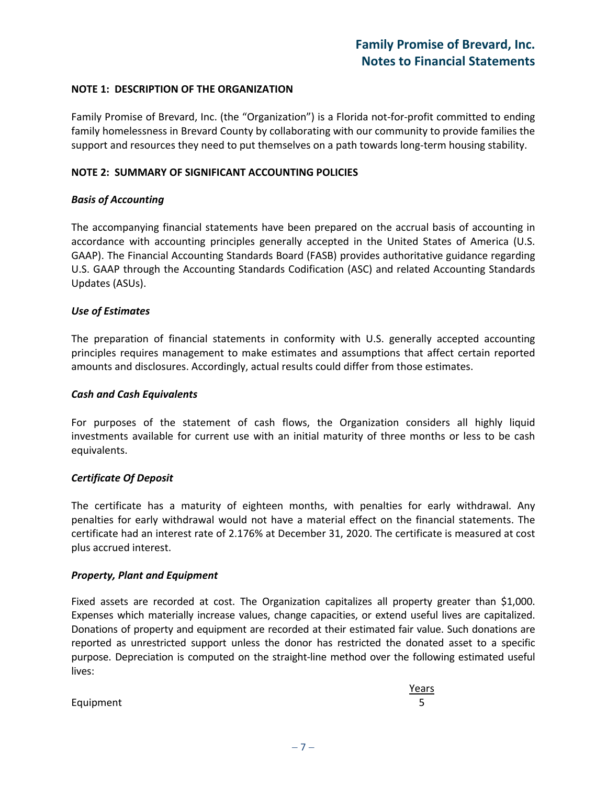#### **NOTE 1: DESCRIPTION OF THE ORGANIZATION**

Family Promise of Brevard, Inc. (the "Organization") is a Florida not-for-profit committed to ending family homelessness in Brevard County by collaborating with our community to provide families the support and resources they need to put themselves on a path towards long-term housing stability.

#### **NOTE 2: SUMMARY OF SIGNIFICANT ACCOUNTING POLICIES**

#### *Basis of Accounting*

The accompanying financial statements have been prepared on the accrual basis of accounting in accordance with accounting principles generally accepted in the United States of America (U.S. GAAP). The Financial Accounting Standards Board (FASB) provides authoritative guidance regarding U.S. GAAP through the Accounting Standards Codification (ASC) and related Accounting Standards Updates (ASUs).

#### *Use of Estimates*

The preparation of financial statements in conformity with U.S. generally accepted accounting principles requires management to make estimates and assumptions that affect certain reported amounts and disclosures. Accordingly, actual results could differ from those estimates.

#### *Cash and Cash Equivalents*

For purposes of the statement of cash flows, the Organization considers all highly liquid investments available for current use with an initial maturity of three months or less to be cash equivalents.

#### *Certificate Of Deposit*

The certificate has a maturity of eighteen months, with penalties for early withdrawal. Any penalties for early withdrawal would not have a material effect on the financial statements. The certificate had an interest rate of 2.176% at December 31, 2020. The certificate is measured at cost plus accrued interest.

#### *Property, Plant and Equipment*

Fixed assets are recorded at cost. The Organization capitalizes all property greater than \$1,000. Expenses which materially increase values, change capacities, or extend useful lives are capitalized. Donations of property and equipment are recorded at their estimated fair value. Such donations are reported as unrestricted support unless the donor has restricted the donated asset to a specific purpose. Depreciation is computed on the straight-line method over the following estimated useful lives:

|           | Years |
|-----------|-------|
| Equipment |       |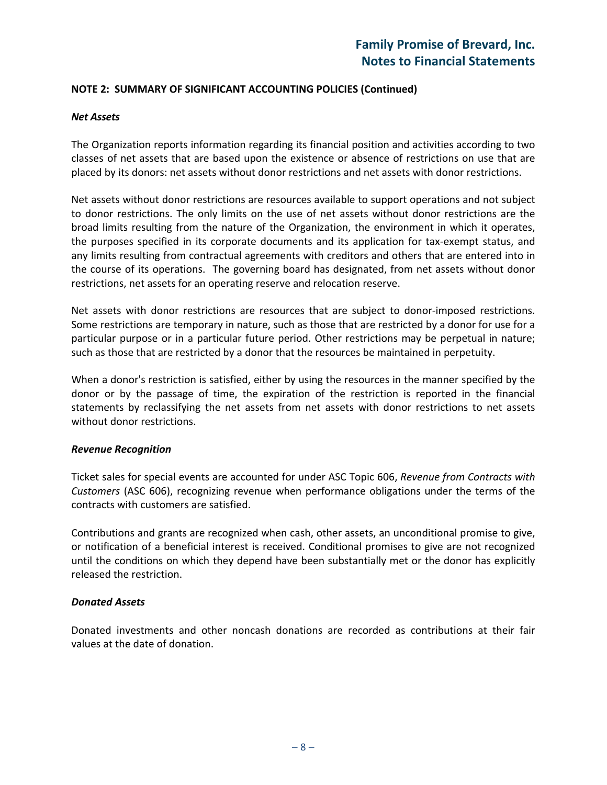#### **NOTE 2: SUMMARY OF SIGNIFICANT ACCOUNTING POLICIES (Continued)**

#### *Net Assets*

The Organization reports information regarding its financial position and activities according to two classes of net assets that are based upon the existence or absence of restrictions on use that are placed by its donors: net assets without donor restrictions and net assets with donor restrictions.

Net assets without donor restrictions are resources available to support operations and not subject to donor restrictions. The only limits on the use of net assets without donor restrictions are the broad limits resulting from the nature of the Organization, the environment in which it operates, the purposes specified in its corporate documents and its application for tax-exempt status, and any limits resulting from contractual agreements with creditors and others that are entered into in the course of its operations. The governing board has designated, from net assets without donor restrictions, net assets for an operating reserve and relocation reserve.

Net assets with donor restrictions are resources that are subject to donor-imposed restrictions. Some restrictions are temporary in nature, such as those that are restricted by a donor for use for a particular purpose or in a particular future period. Other restrictions may be perpetual in nature; such as those that are restricted by a donor that the resources be maintained in perpetuity.

When a donor's restriction is satisfied, either by using the resources in the manner specified by the donor or by the passage of time, the expiration of the restriction is reported in the financial statements by reclassifying the net assets from net assets with donor restrictions to net assets without donor restrictions.

#### *Revenue Recognition*

Ticket sales for special events are accounted for under ASC Topic 606, *Revenue from Contracts with Customers* (ASC 606), recognizing revenue when performance obligations under the terms of the contracts with customers are satisfied.

Contributions and grants are recognized when cash, other assets, an unconditional promise to give, or notification of a beneficial interest is received. Conditional promises to give are not recognized until the conditions on which they depend have been substantially met or the donor has explicitly released the restriction.

#### *Donated Assets*

Donated investments and other noncash donations are recorded as contributions at their fair values at the date of donation.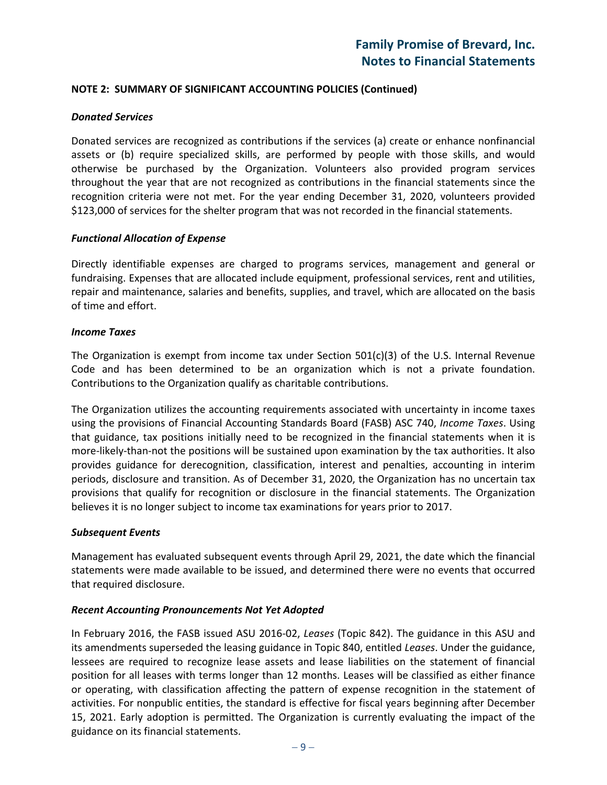#### **NOTE 2: SUMMARY OF SIGNIFICANT ACCOUNTING POLICIES (Continued)**

#### *Donated Services*

Donated services are recognized as contributions if the services (a) create or enhance nonfinancial assets or (b) require specialized skills, are performed by people with those skills, and would otherwise be purchased by the Organization. Volunteers also provided program services throughout the year that are not recognized as contributions in the financial statements since the recognition criteria were not met. For the year ending December 31, 2020, volunteers provided \$123,000 of services for the shelter program that was not recorded in the financial statements.

#### *Functional Allocation of Expense*

Directly identifiable expenses are charged to programs services, management and general or fundraising. Expenses that are allocated include equipment, professional services, rent and utilities, repair and maintenance, salaries and benefits, supplies, and travel, which are allocated on the basis of time and effort.

#### *Income Taxes*

The Organization is exempt from income tax under Section  $501(c)(3)$  of the U.S. Internal Revenue Code and has been determined to be an organization which is not a private foundation. Contributions to the Organization qualify as charitable contributions.

The Organization utilizes the accounting requirements associated with uncertainty in income taxes using the provisions of Financial Accounting Standards Board (FASB) ASC 740, *Income Taxes*. Using that guidance, tax positions initially need to be recognized in the financial statements when it is more-likely-than-not the positions will be sustained upon examination by the tax authorities. It also provides guidance for derecognition, classification, interest and penalties, accounting in interim periods, disclosure and transition. As of December 31, 2020, the Organization has no uncertain tax provisions that qualify for recognition or disclosure in the financial statements. The Organization believes it is no longer subject to income tax examinations for years prior to 2017.

#### *Subsequent Events*

Management has evaluated subsequent events through April 29, 2021, the date which the financial statements were made available to be issued, and determined there were no events that occurred that required disclosure.

#### *Recent Accounting Pronouncements Not Yet Adopted*

In February 2016, the FASB issued ASU 2016-02, *Leases* (Topic 842). The guidance in this ASU and its amendments superseded the leasing guidance in Topic 840, entitled *Leases*. Under the guidance, lessees are required to recognize lease assets and lease liabilities on the statement of financial position for all leases with terms longer than 12 months. Leases will be classified as either finance or operating, with classification affecting the pattern of expense recognition in the statement of activities. For nonpublic entities, the standard is effective for fiscal years beginning after December 15, 2021. Early adoption is permitted. The Organization is currently evaluating the impact of the guidance on its financial statements.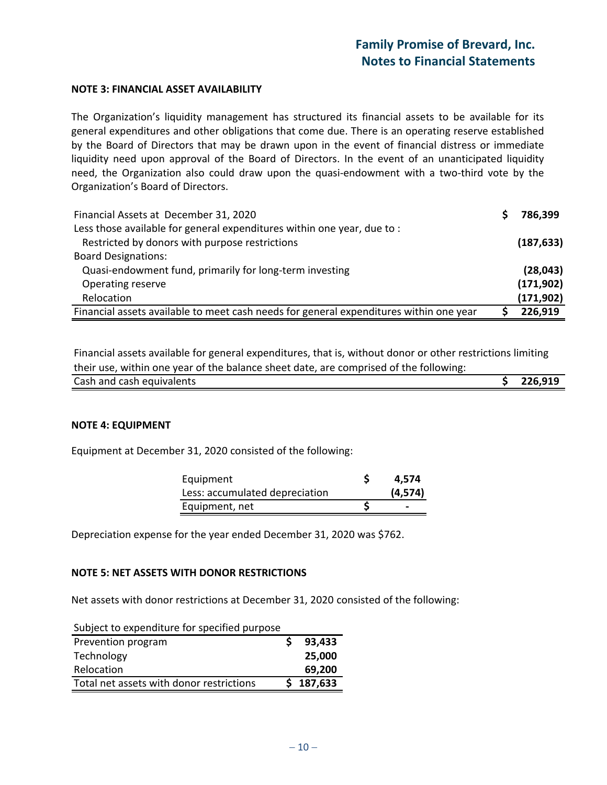#### **NOTE 3: FINANCIAL ASSET AVAILABILITY**

The Organization's liquidity management has structured its financial assets to be available for its general expenditures and other obligations that come due. There is an operating reserve established by the Board of Directors that may be drawn upon in the event of financial distress or immediate liquidity need upon approval of the Board of Directors. In the event of an unanticipated liquidity need, the Organization also could draw upon the quasi-endowment with a two-third vote by the Organization's Board of Directors.

| Financial Assets at December 31, 2020                                                  | 786,399    |
|----------------------------------------------------------------------------------------|------------|
| Less those available for general expenditures within one year, due to:                 |            |
| Restricted by donors with purpose restrictions                                         | (187, 633) |
| <b>Board Designations:</b>                                                             |            |
| Quasi-endowment fund, primarily for long-term investing                                | (28, 043)  |
| Operating reserve                                                                      | (171, 902) |
| Relocation                                                                             | (171, 902) |
| Financial assets available to meet cash needs for general expenditures within one year | 226,919    |

Financial assets available for general expenditures, that is, without donor or other restrictions limiting their use, within one year of the balance sheet date, are comprised of the following:

| Cash and cash equivalents | 226,919 |
|---------------------------|---------|
|                           |         |

#### **NOTE 4: EQUIPMENT**

Equipment at December 31, 2020 consisted of the following:

| Equipment                      | 4.574    |
|--------------------------------|----------|
| Less: accumulated depreciation | (4, 574) |
| Equipment, net                 | -        |

Depreciation expense for the year ended December 31, 2020 was \$762.

#### **NOTE 5: NET ASSETS WITH DONOR RESTRICTIONS**

Net assets with donor restrictions at December 31, 2020 consisted of the following:

| Subject to expenditure for specified purpose |           |
|----------------------------------------------|-----------|
| Prevention program                           | 93,433    |
| Technology                                   | 25,000    |
| Relocation                                   | 69,200    |
| Total net assets with donor restrictions     | \$187,633 |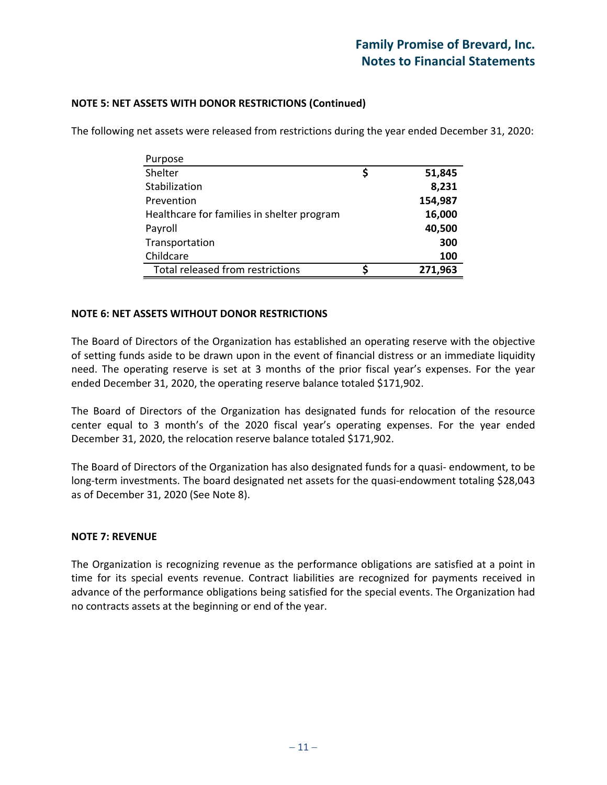| Purpose                                    |         |
|--------------------------------------------|---------|
| Shelter                                    | 51,845  |
| Stabilization                              | 8,231   |
| Prevention                                 | 154,987 |
| Healthcare for families in shelter program | 16,000  |
| Payroll                                    | 40,500  |
| Transportation                             | 300     |
| Childcare                                  | 100     |
| Total released from restrictions           | 271,963 |

The following net assets were released from restrictions during the year ended December 31, 2020:

#### **NOTE 5: NET ASSETS WITH DONOR RESTRICTIONS (Continued)**

#### **NOTE 6: NET ASSETS WITHOUT DONOR RESTRICTIONS**

The Board of Directors of the Organization has established an operating reserve with the objective of setting funds aside to be drawn upon in the event of financial distress or an immediate liquidity need. The operating reserve is set at 3 months of the prior fiscal year's expenses. For the year ended December 31, 2020, the operating reserve balance totaled \$171,902.

The Board of Directors of the Organization has designated funds for relocation of the resource center equal to 3 month's of the 2020 fiscal year's operating expenses. For the year ended December 31, 2020, the relocation reserve balance totaled \$171,902.

The Board of Directors of the Organization has also designated funds for a quasi- endowment, to be long-term investments. The board designated net assets for the quasi-endowment totaling \$28,043 as of December 31, 2020 (See Note 8).

#### **NOTE 7: REVENUE**

The Organization is recognizing revenue as the performance obligations are satisfied at a point in time for its special events revenue. Contract liabilities are recognized for payments received in advance of the performance obligations being satisfied for the special events. The Organization had no contracts assets at the beginning or end of the year.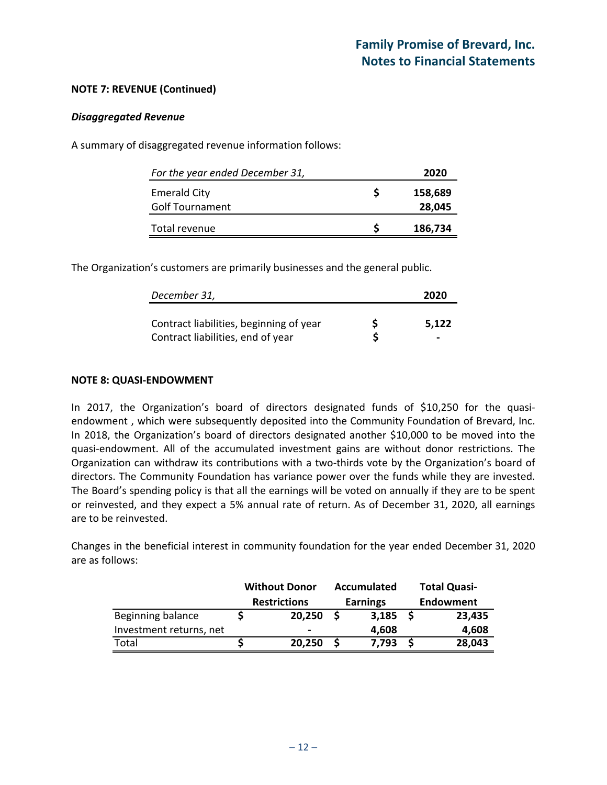#### **NOTE 7: REVENUE (Continued)**

#### *Disaggregated Revenue*

A summary of disaggregated revenue information follows:

| For the year ended December 31, | 2020    |
|---------------------------------|---------|
| <b>Emerald City</b>             | 158,689 |
| <b>Golf Tournament</b>          | 28,045  |
| Total revenue                   | 186,734 |

The Organization's customers are primarily businesses and the general public.

| December 31,                            | 2020  |
|-----------------------------------------|-------|
| Contract liabilities, beginning of year | 5.122 |
| Contract liabilities, end of year       | -     |

#### **NOTE 8: QUASI-ENDOWMENT**

In 2017, the Organization's board of directors designated funds of \$10,250 for the quasiendowment , which were subsequently deposited into the Community Foundation of Brevard, Inc. In 2018, the Organization's board of directors designated another \$10,000 to be moved into the quasi-endowment. All of the accumulated investment gains are without donor restrictions. The Organization can withdraw its contributions with a two-thirds vote by the Organization's board of directors. The Community Foundation has variance power over the funds while they are invested. The Board's spending policy is that all the earnings will be voted on annually if they are to be spent or reinvested, and they expect a 5% annual rate of return. As of December 31, 2020, all earnings are to be reinvested.

Changes in the beneficial interest in community foundation for the year ended December 31, 2020 are as follows:

|                         | <b>Without Donor</b> | Accumulated     | <b>Total Quasi-</b> |
|-------------------------|----------------------|-----------------|---------------------|
|                         | <b>Restrictions</b>  | <b>Earnings</b> | Endowment           |
| Beginning balance       | 20,250               | 3,185           | 23,435              |
| Investment returns, net | -                    | 4,608           | 4,608               |
| Total                   | 20,250               | 7,793           | 28,043              |